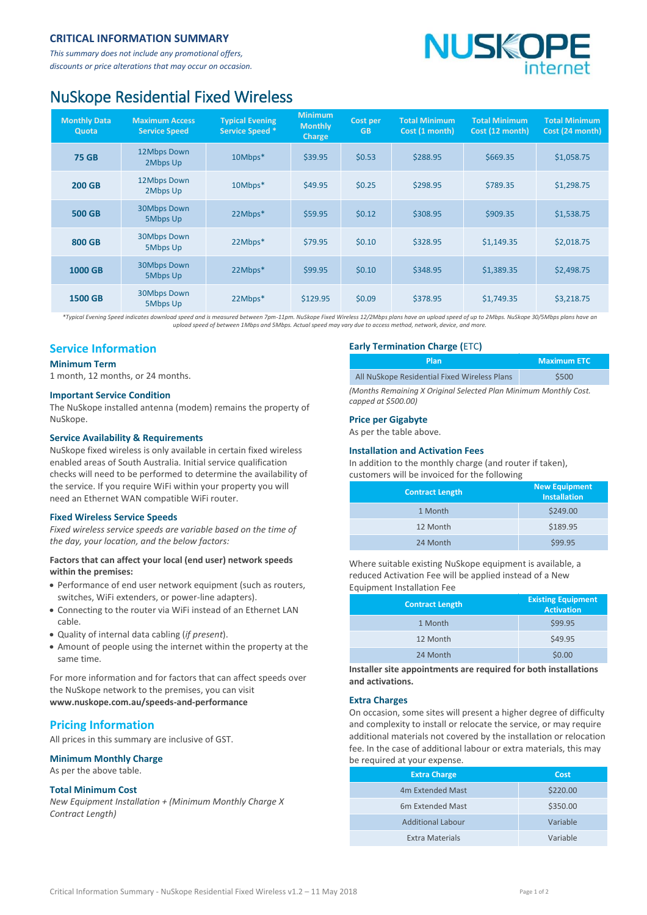#### **CRITICAL INFORMATION SUMMARY**

*This summary does not include any promotional offers, discounts or price alterations that may occur on occasion.*

# **NUSKOP**

## NuSkope Residential Fixed Wireless

| <b>Monthly Data</b><br>Quota | <b>Maximum Access</b><br><b>Service Speed</b> | <b>Typical Evening</b><br><b>Service Speed *</b> | <b>Minimum</b><br><b>Monthly</b><br>Charge | Cost per<br><b>GB</b> | <b>Total Minimum</b><br>Cost (1 month) | <b>Total Minimum</b><br>Cost (12 month) | <b>Total Minimum</b><br>Cost (24 month) |
|------------------------------|-----------------------------------------------|--------------------------------------------------|--------------------------------------------|-----------------------|----------------------------------------|-----------------------------------------|-----------------------------------------|
| <b>75 GB</b>                 | 12Mbps Down<br>2Mbps Up                       | 10Mbps*                                          | \$39.95                                    | \$0.53                | \$288.95                               | \$669.35                                | \$1,058.75                              |
| <b>200 GB</b>                | 12Mbps Down<br>2Mbps Up                       | 10Mbps*                                          | \$49.95                                    | \$0.25                | \$298.95                               | \$789.35                                | \$1,298.75                              |
| <b>500 GB</b>                | <b>30Mbps Down</b><br>5Mbps Up                | 22Mbps*                                          | \$59.95                                    | \$0.12                | \$308.95                               | \$909.35                                | \$1,538.75                              |
| <b>800 GB</b>                | <b>30Mbps Down</b><br>5Mbps Up                | 22Mbps*                                          | \$79.95                                    | \$0.10                | \$328.95                               | \$1.149.35                              | \$2,018.75                              |
| 1000 GB                      | <b>30Mbps Down</b><br>5Mbps Up                | 22Mbps*                                          | \$99.95                                    | \$0.10                | \$348.95                               | \$1,389.35                              | \$2,498.75                              |
| <b>1500 GB</b>               | <b>30Mbps Down</b><br>5Mbps Up                | 22Mbps*                                          | \$129.95                                   | \$0.09                | \$378.95                               | \$1,749.35                              | \$3,218.75                              |

*\*Typical Evening Speed indicates download speed and is measured between 7pm-11pm. NuSkope Fixed Wireless 12/2Mbps plans have an upload speed of up to 2Mbps. NuSkope 30/5Mbps plans have an upload speed of between 1Mbps and 5Mbps. Actual speed may vary due to access method, network, device, and more.*

### **Service Information**

#### **Minimum Term**

1 month, 12 months, or 24 months.

#### **Important Service Condition**

The NuSkope installed antenna (modem) remains the property of NuSkope.

#### **Service Availability & Requirements**

NuSkope fixed wireless is only available in certain fixed wireless enabled areas of South Australia. Initial service qualification checks will need to be performed to determine the availability of the service. If you require WiFi within your property you will need an Ethernet WAN compatible WiFi router.

#### **Fixed Wireless Service Speeds**

*Fixed wireless service speeds are variable based on the time of the day, your location, and the below factors:*

#### **Factors that can affect your local (end user) network speeds within the premises:**

- Performance of end user network equipment (such as routers, switches, WiFi extenders, or power-line adapters).
- Connecting to the router via WiFi instead of an Ethernet LAN cable.
- Quality of internal data cabling (*if present*).
- Amount of people using the internet within the property at the same time.

For more information and for factors that can affect speeds over the NuSkope network to the premises, you can visit **[www.nuskope.com.au/speeds-and-performance](http://www.nuskope.com.au/speeds-and-performance)**

#### **Pricing Information**

All prices in this summary are inclusive of GST.

**Minimum Monthly Charge** As per the above table.

#### **Total Minimum Cost**

*New Equipment Installation + (Minimum Monthly Charge X Contract Length)*

#### **Early Termination Charge (**ETC**)**

|                                                                  | Plan                                         | <b>Maximum ETC</b> |  |
|------------------------------------------------------------------|----------------------------------------------|--------------------|--|
|                                                                  | All NuSkope Residential Fixed Wireless Plans | \$500              |  |
| (Months Remaining X Original Selected Plan Minimum Monthly Cost. |                                              |                    |  |

*(Months Remaining X Original Selected Plan Minimum Monthly Cost. capped at \$500.00)*

#### **Price per Gigabyte**

As per the table above.

#### **Installation and Activation Fees**

In addition to the monthly charge (and router if taken), customers will be invoiced for the following

| <b>Contract Length</b> | <b>New Equipment</b><br><b>Installation</b> |
|------------------------|---------------------------------------------|
| 1 Month                | \$249.00                                    |
| 12 Month               | \$189.95                                    |
| 24 Month               | \$99.95                                     |

Where suitable existing NuSkope equipment is available, a reduced Activation Fee will be applied instead of a New Equipment Installation Fee

| <b>Contract Length</b> | <b>Existing Equipment</b><br><b>Activation</b> |
|------------------------|------------------------------------------------|
| 1 Month                | \$99.95                                        |
| 12 Month               | \$49.95                                        |
| 24 Month               | \$0.00                                         |

**Installer site appointments are required for both installations and activations.**

#### **Extra Charges**

On occasion, some sites will present a higher degree of difficulty and complexity to install or relocate the service, or may require additional materials not covered by the installation or relocation fee. In the case of additional labour or extra materials, this may be required at your expense.

| <b>Extra Charge</b>          | Cost     |
|------------------------------|----------|
| 4m Extended Mast             | \$220.00 |
| 6 <sub>m</sub> Extended Mast | \$350.00 |
| <b>Additional Labour</b>     | Variable |
| Extra Materials              | Variable |